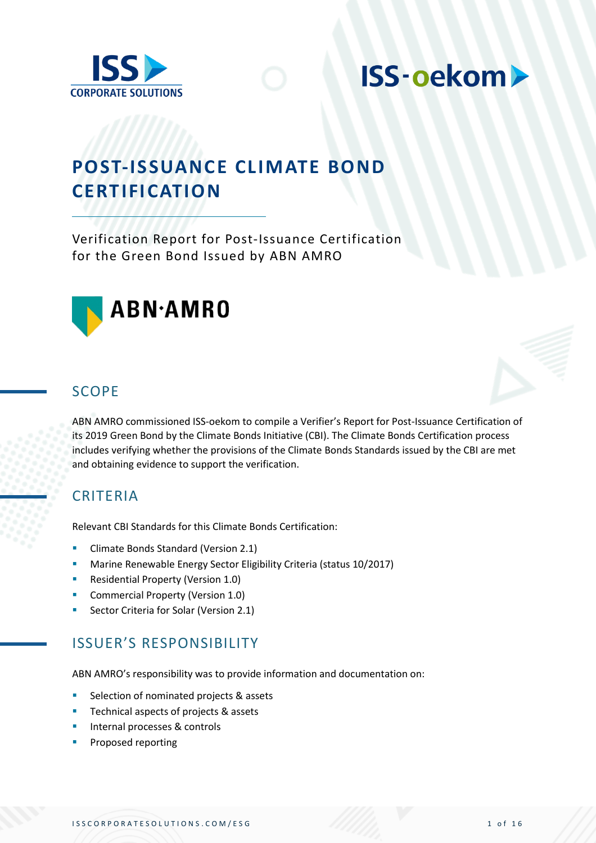

## **POST-ISSUANCE CLIMATE BOND CERTIFICATION**

Verification Report for Post-Issuance Certification for the Green Bond Issued by ABN AMRO



### SCOPE

ABN AMRO commissioned ISS-oekom to compile a Verifier's Report for Post-Issuance Certification of its 2019 Green Bond by the Climate Bonds Initiative (CBI). The Climate Bonds Certification process includes verifying whether the provisions of the Climate Bonds Standards issued by the CBI are met and obtaining evidence to support the verification.

## CRITERIA

Relevant CBI Standards for this Climate Bonds Certification:

- Climate Bonds Standard (Version 2.1)
- Marine Renewable Energy Sector Eligibility Criteria (status 10/2017)
- Residential Property (Version 1.0)
- Commercial Property (Version 1.0)
- Sector Criteria for Solar (Version 2.1)

## ISSUER'S RESPONSIBILITY

ABN AMRO's responsibility was to provide information and documentation on:

- Selection of nominated projects & assets
- Technical aspects of projects & assets
- Internal processes & controls
- Proposed reporting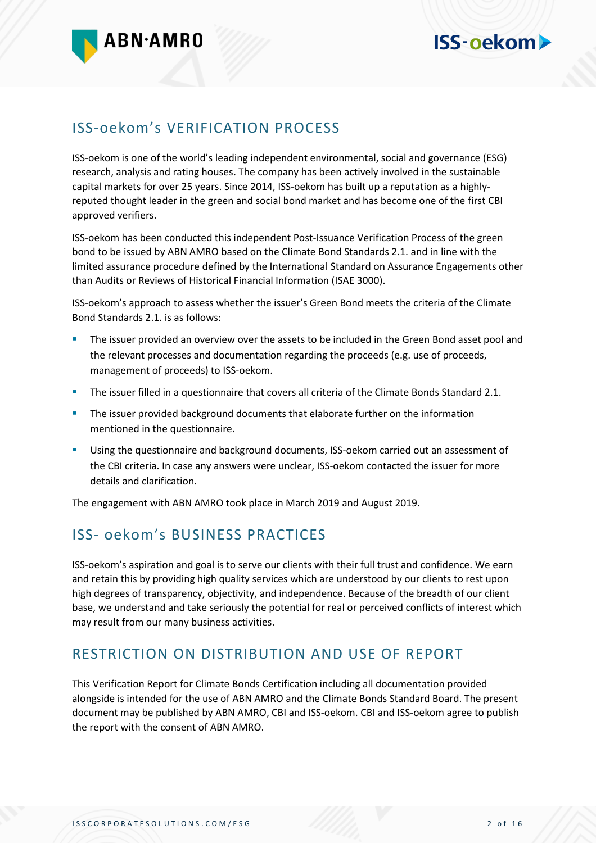

## ISS-oekom's VERIFICATION PROCESS

ISS-oekom is one of the world's leading independent environmental, social and governance (ESG) research, analysis and rating houses. The company has been actively involved in the sustainable capital markets for over 25 years. Since 2014, ISS-oekom has built up a reputation as a highlyreputed thought leader in the green and social bond market and has become one of the first CBI approved verifiers.

ISS-oekom has been conducted this independent Post-Issuance Verification Process of the green bond to be issued by ABN AMRO based on the Climate Bond Standards 2.1. and in line with the limited assurance procedure defined by the International Standard on Assurance Engagements other than Audits or Reviews of Historical Financial Information (ISAE 3000).

ISS-oekom's approach to assess whether the issuer's Green Bond meets the criteria of the Climate Bond Standards 2.1. is as follows:

- The issuer provided an overview over the assets to be included in the Green Bond asset pool and the relevant processes and documentation regarding the proceeds (e.g. use of proceeds, management of proceeds) to ISS-oekom.
- **•** The issuer filled in a questionnaire that covers all criteria of the Climate Bonds Standard 2.1.
- **•** The issuer provided background documents that elaborate further on the information mentioned in the questionnaire.
- **■** Using the questionnaire and background documents, ISS-oekom carried out an assessment of the CBI criteria. In case any answers were unclear, ISS-oekom contacted the issuer for more details and clarification.

The engagement with ABN AMRO took place in March 2019 and August 2019.

## ISS- oekom's BUSINESS PRACTICES

ISS-oekom's aspiration and goal is to serve our clients with their full trust and confidence. We earn and retain this by providing high quality services which are understood by our clients to rest upon high degrees of transparency, objectivity, and independence. Because of the breadth of our client base, we understand and take seriously the potential for real or perceived conflicts of interest which may result from our many business activities.

## RESTRICTION ON DISTRIBUTION AND USE OF REPORT

This Verification Report for Climate Bonds Certification including all documentation provided alongside is intended for the use of ABN AMRO and the Climate Bonds Standard Board. The present document may be published by ABN AMRO, CBI and ISS-oekom. CBI and ISS-oekom agree to publish the report with the consent of ABN AMRO.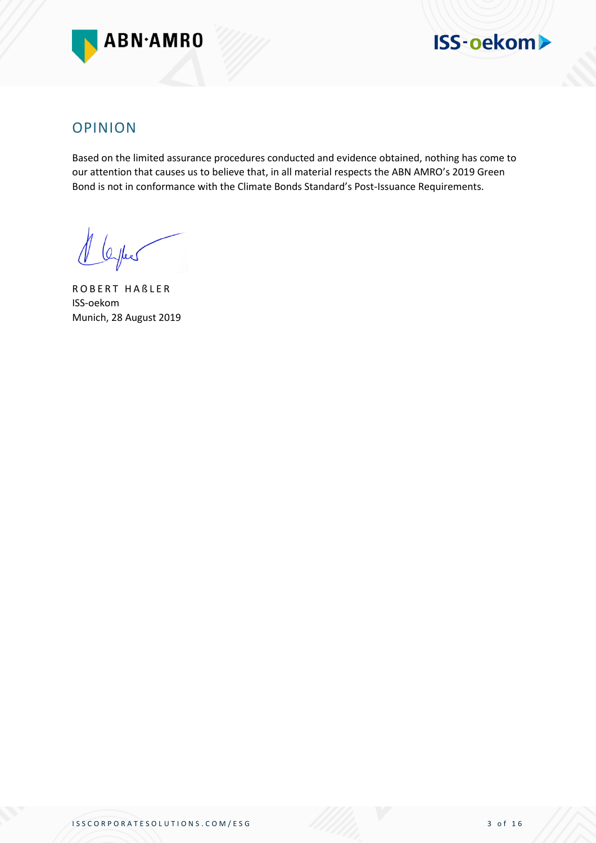



### OPINION

Based on the limited assurance procedures conducted and evidence obtained, nothing has come to our attention that causes us to believe that, in all material respects the ABN AMRO's 2019 Green Bond is not in conformance with the Climate Bonds Standard's Post-Issuance Requirements.

thee

R O B E R T H A B L E R ISS-oekom Munich, 28 August 2019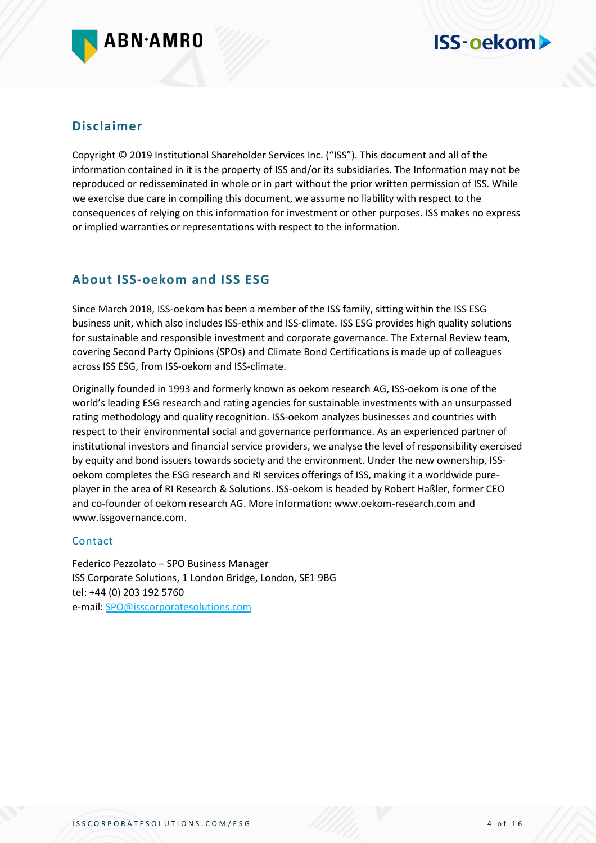

#### **Disclaimer**

Copyright © 2019 Institutional Shareholder Services Inc. ("ISS"). This document and all of the information contained in it is the property of ISS and/or its subsidiaries. The Information may not be reproduced or redisseminated in whole or in part without the prior written permission of ISS. While we exercise due care in compiling this document, we assume no liability with respect to the consequences of relying on this information for investment or other purposes. ISS makes no express or implied warranties or representations with respect to the information.

#### **About ISS-oekom and ISS ESG**

Since March 2018, ISS-oekom has been a member of the ISS family, sitting within the ISS ESG business unit, which also includes ISS-ethix and ISS-climate. ISS ESG provides high quality solutions for sustainable and responsible investment and corporate governance. The External Review team, covering Second Party Opinions (SPOs) and Climate Bond Certifications is made up of colleagues across ISS ESG, from ISS-oekom and ISS-climate.

Originally founded in 1993 and formerly known as oekom research AG, ISS-oekom is one of the world's leading ESG research and rating agencies for sustainable investments with an unsurpassed rating methodology and quality recognition. ISS-oekom analyzes businesses and countries with respect to their environmental social and governance performance. As an experienced partner of institutional investors and financial service providers, we analyse the level of responsibility exercised by equity and bond issuers towards society and the environment. Under the new ownership, ISSoekom completes the ESG research and RI services offerings of ISS, making it a worldwide pureplayer in the area of RI Research & Solutions. ISS-oekom is headed by Robert Haßler, former CEO and co-founder of oekom research AG. More information: www.oekom-research.com and www.issgovernance.com.

#### Contact

Federico Pezzolato – SPO Business Manager ISS Corporate Solutions, 1 London Bridge, London, SE1 9BG tel: +44 (0) 203 192 5760 e-mail: [SPO@isscorporatesolutions.com](mailto:SPO@isscorporatesolutions.com)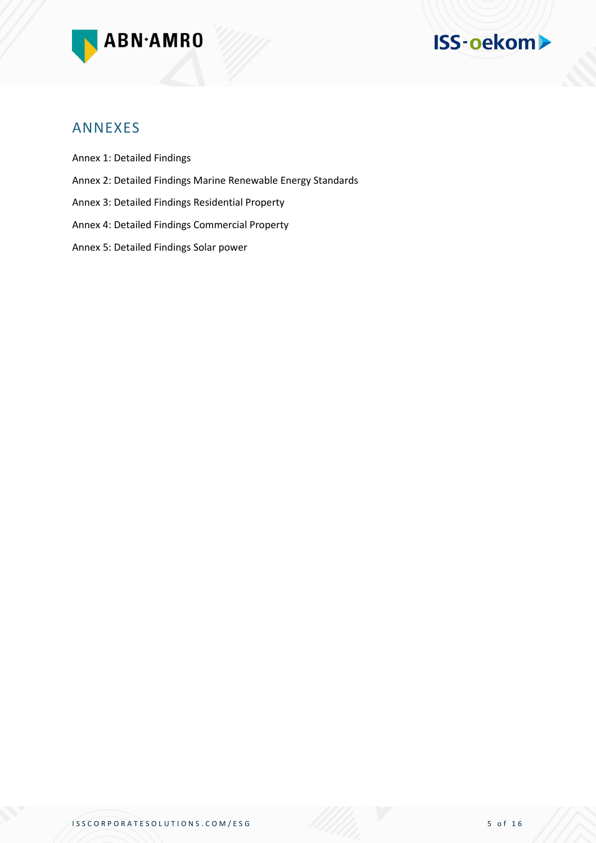



#### ANNEXES

Annex 1: Detailed Findings

- Annex 2: Detailed Findings Marine Renewable Energy Standards
- Annex 3: Detailed Findings Residential Property
- Annex 4: Detailed Findings Commercial Property
- Annex 5: Detailed Findings Solar power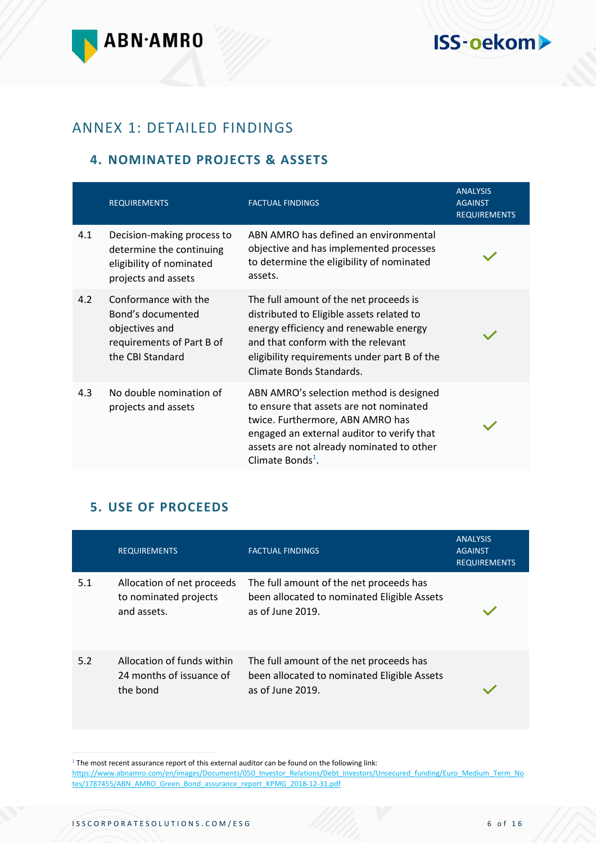

## ANNEX 1: DETAILED FINDINGS

#### **4. NOMINATED PROJECTS & ASSETS**

|     | <b>REQUIREMENTS</b>                                                                                          | <b>FACTUAL FINDINGS</b>                                                                                                                                                                                                                           | <b>ANALYSIS</b><br><b>AGAINST</b><br><b>REQUIREMENTS</b> |
|-----|--------------------------------------------------------------------------------------------------------------|---------------------------------------------------------------------------------------------------------------------------------------------------------------------------------------------------------------------------------------------------|----------------------------------------------------------|
| 4.1 | Decision-making process to<br>determine the continuing<br>eligibility of nominated<br>projects and assets    | ABN AMRO has defined an environmental<br>objective and has implemented processes<br>to determine the eligibility of nominated<br>assets.                                                                                                          |                                                          |
| 4.2 | Conformance with the<br>Bond's documented<br>objectives and<br>requirements of Part B of<br>the CBI Standard | The full amount of the net proceeds is<br>distributed to Eligible assets related to<br>energy efficiency and renewable energy<br>and that conform with the relevant<br>eligibility requirements under part B of the<br>Climate Bonds Standards.   |                                                          |
| 4.3 | No double nomination of<br>projects and assets                                                               | ABN AMRO's selection method is designed<br>to ensure that assets are not nominated<br>twice. Furthermore, ABN AMRO has<br>engaged an external auditor to verify that<br>assets are not already nominated to other<br>Climate Bonds <sup>1</sup> . |                                                          |

#### **5. USE OF PROCEEDS**

|     | <b>REQUIREMENTS</b>                                                | <b>FACTUAL FINDINGS</b>                                                                                    | <b>ANALYSIS</b><br><b>AGAINST</b><br><b>REQUIREMENTS</b> |
|-----|--------------------------------------------------------------------|------------------------------------------------------------------------------------------------------------|----------------------------------------------------------|
| 5.1 | Allocation of net proceeds<br>to nominated projects<br>and assets. | The full amount of the net proceeds has<br>been allocated to nominated Eligible Assets<br>as of June 2019. |                                                          |
| 5.2 | Allocation of funds within<br>24 months of issuance of<br>the bond | The full amount of the net proceeds has<br>been allocated to nominated Eligible Assets<br>as of June 2019. |                                                          |

 $1$ <sup>1</sup> The most recent assurance report of this external auditor can be found on the following link:

[https://www.abnamro.com/en/images/Documents/050\\_Investor\\_Relations/Debt\\_Investors/Unsecured\\_funding/Euro\\_Medium\\_Term\\_No](https://www.abnamro.com/en/images/Documents/050_Investor_Relations/Debt_Investors/Unsecured_funding/Euro_Medium_Term_Notes/1787455/ABN_AMRO_Green_Bond_assurance_report_KPMG_2018-12-31.pdf) [tes/1787455/ABN\\_AMRO\\_Green\\_Bond\\_assurance\\_report\\_KPMG\\_2018-12-31.pdf](https://www.abnamro.com/en/images/Documents/050_Investor_Relations/Debt_Investors/Unsecured_funding/Euro_Medium_Term_Notes/1787455/ABN_AMRO_Green_Bond_assurance_report_KPMG_2018-12-31.pdf)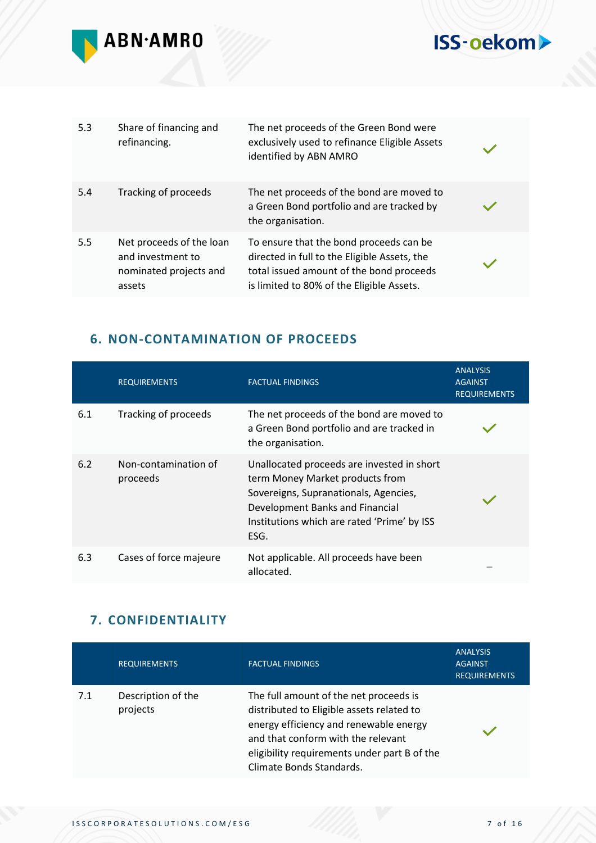

| 5.3 | Share of financing and<br>refinancing.                                            | The net proceeds of the Green Bond were<br>exclusively used to refinance Eligible Assets<br>identified by ABN AMRO                                                               |  |
|-----|-----------------------------------------------------------------------------------|----------------------------------------------------------------------------------------------------------------------------------------------------------------------------------|--|
| 5.4 | Tracking of proceeds                                                              | The net proceeds of the bond are moved to<br>a Green Bond portfolio and are tracked by<br>the organisation.                                                                      |  |
| 5.5 | Net proceeds of the loan<br>and investment to<br>nominated projects and<br>assets | To ensure that the bond proceeds can be<br>directed in full to the Eligible Assets, the<br>total issued amount of the bond proceeds<br>is limited to 80% of the Eligible Assets. |  |

### **6. NON-CONTAMINATION OF PROCEEDS**

|     | <b>REQUIREMENTS</b>              | <b>FACTUAL FINDINGS</b>                                                                                                                                                                                          | <b>ANALYSIS</b><br><b>AGAINST</b><br><b>REQUIREMENTS</b> |
|-----|----------------------------------|------------------------------------------------------------------------------------------------------------------------------------------------------------------------------------------------------------------|----------------------------------------------------------|
| 6.1 | Tracking of proceeds             | The net proceeds of the bond are moved to<br>a Green Bond portfolio and are tracked in<br>the organisation.                                                                                                      |                                                          |
| 6.2 | Non-contamination of<br>proceeds | Unallocated proceeds are invested in short<br>term Money Market products from<br>Sovereigns, Supranationals, Agencies,<br>Development Banks and Financial<br>Institutions which are rated 'Prime' by ISS<br>ESG. |                                                          |
| 6.3 | Cases of force majeure           | Not applicable. All proceeds have been<br>allocated.                                                                                                                                                             | $\sim$                                                   |

#### **7. CONFIDENTIALITY**

|     | <b>REQUIREMENTS</b>            | <b>FACTUAL FINDINGS</b>                                                                                                                                                                                                                         | <b>ANALYSIS</b><br><b>AGAINST</b><br><b>REQUIREMENTS</b> |
|-----|--------------------------------|-------------------------------------------------------------------------------------------------------------------------------------------------------------------------------------------------------------------------------------------------|----------------------------------------------------------|
| 7.1 | Description of the<br>projects | The full amount of the net proceeds is<br>distributed to Eligible assets related to<br>energy efficiency and renewable energy<br>and that conform with the relevant<br>eligibility requirements under part B of the<br>Climate Bonds Standards. |                                                          |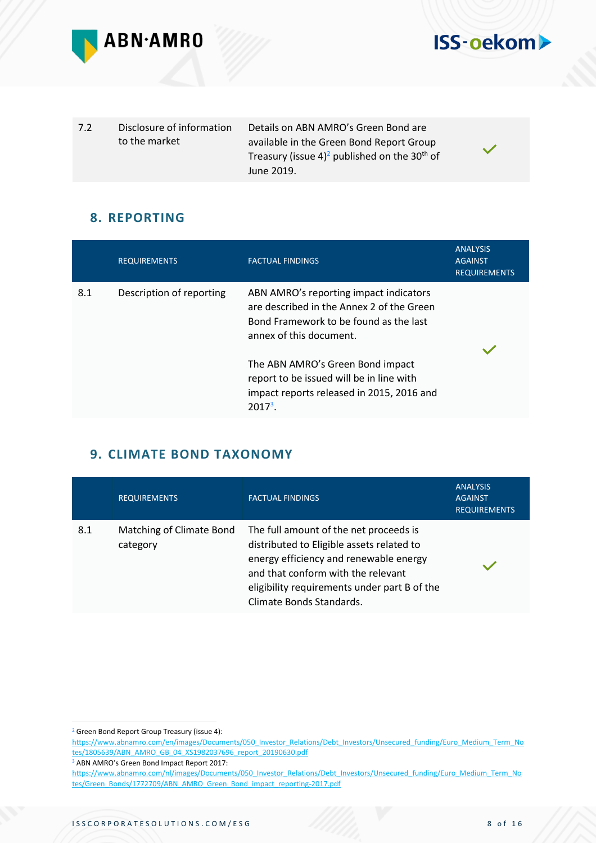



7.2 Disclosure of information to the market Details on ABN AMRO's Green Bond are available in the Green Bond Report Group Treasury (issue 4)<sup>2</sup> published on the 30<sup>th</sup> of June 2019.

#### **8. REPORTING**

|     | <b>REQUIREMENTS</b>      | <b>FACTUAL FINDINGS</b>                                                                                                                                  | <b>ANALYSIS</b><br><b>AGAINST</b><br><b>REQUIREMENTS</b> |  |
|-----|--------------------------|----------------------------------------------------------------------------------------------------------------------------------------------------------|----------------------------------------------------------|--|
| 8.1 | Description of reporting | ABN AMRO's reporting impact indicators<br>are described in the Annex 2 of the Green<br>Bond Framework to be found as the last<br>annex of this document. |                                                          |  |
|     |                          | The ABN AMRO's Green Bond impact<br>report to be issued will be in line with<br>impact reports released in 2015, 2016 and<br>$2017^3$ .                  |                                                          |  |

#### **9. CLIMATE BOND TAXONOMY**

|     | <b>REQUIREMENTS</b>                  | <b>FACTUAL FINDINGS</b>                                                                                                                                                                                                                         | <b>ANALYSIS</b><br><b>AGAINST</b><br><b>REQUIREMENTS</b> |
|-----|--------------------------------------|-------------------------------------------------------------------------------------------------------------------------------------------------------------------------------------------------------------------------------------------------|----------------------------------------------------------|
| 8.1 | Matching of Climate Bond<br>category | The full amount of the net proceeds is<br>distributed to Eligible assets related to<br>energy efficiency and renewable energy<br>and that conform with the relevant<br>eligibility requirements under part B of the<br>Climate Bonds Standards. |                                                          |

<sup>2</sup> Green Bond Report Group Treasury (issue 4):

[https://www.abnamro.com/en/images/Documents/050\\_Investor\\_Relations/Debt\\_Investors/Unsecured\\_funding/Euro\\_Medium\\_Term\\_No](https://www.abnamro.com/en/images/Documents/050_Investor_Relations/Debt_Investors/Unsecured_funding/Euro_Medium_Term_Notes/1805639/ABN_AMRO_GB_04_XS1982037696_report_20190630.pdf) [tes/1805639/ABN\\_AMRO\\_GB\\_04\\_XS1982037696\\_report\\_20190630.pdf](https://www.abnamro.com/en/images/Documents/050_Investor_Relations/Debt_Investors/Unsecured_funding/Euro_Medium_Term_Notes/1805639/ABN_AMRO_GB_04_XS1982037696_report_20190630.pdf)

<sup>3</sup> ABN AMRO's Green Bond Impact Report 2017:

[https://www.abnamro.com/nl/images/Documents/050\\_Investor\\_Relations/Debt\\_Investors/Unsecured\\_funding/Euro\\_Medium\\_Term\\_No](https://www.abnamro.com/nl/images/Documents/050_Investor_Relations/Debt_Investors/Unsecured_funding/Euro_Medium_Term_Notes/Green_Bonds/1772709/ABN_AMRO_Green_Bond_impact_reporting-2017.pdf) [tes/Green\\_Bonds/1772709/ABN\\_AMRO\\_Green\\_Bond\\_impact\\_reporting-2017.pdf](https://www.abnamro.com/nl/images/Documents/050_Investor_Relations/Debt_Investors/Unsecured_funding/Euro_Medium_Term_Notes/Green_Bonds/1772709/ABN_AMRO_Green_Bond_impact_reporting-2017.pdf)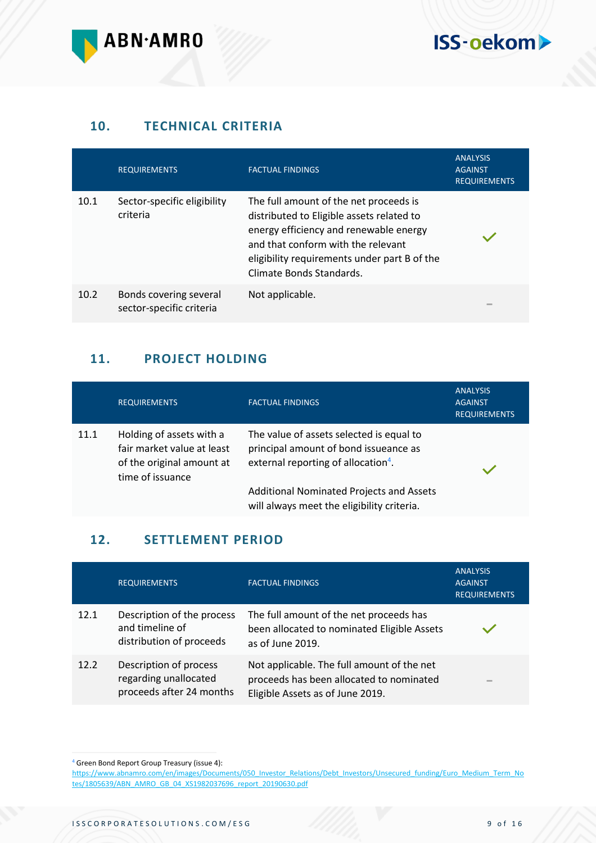

#### **10. TECHNICAL CRITERIA**

|      | <b>REQUIREMENTS</b>                                | <b>FACTUAL FINDINGS</b>                                                                                                                                                                                                                         | <b>ANALYSIS</b><br><b>AGAINST</b><br><b>REQUIREMENTS</b> |
|------|----------------------------------------------------|-------------------------------------------------------------------------------------------------------------------------------------------------------------------------------------------------------------------------------------------------|----------------------------------------------------------|
| 10.1 | Sector-specific eligibility<br>criteria            | The full amount of the net proceeds is<br>distributed to Eligible assets related to<br>energy efficiency and renewable energy<br>and that conform with the relevant<br>eligibility requirements under part B of the<br>Climate Bonds Standards. |                                                          |
| 10.2 | Bonds covering several<br>sector-specific criteria | Not applicable.                                                                                                                                                                                                                                 | $\sim$                                                   |

#### **11. PROJECT HOLDING**

|      | <b>REQUIREMENTS</b>                                                                                     | <b>FACTUAL FINDINGS</b>                                                                                                              | <b>ANALYSIS</b><br><b>AGAINST</b><br><b>REQUIREMENTS</b> |
|------|---------------------------------------------------------------------------------------------------------|--------------------------------------------------------------------------------------------------------------------------------------|----------------------------------------------------------|
| 11.1 | Holding of assets with a<br>fair market value at least<br>of the original amount at<br>time of issuance | The value of assets selected is equal to<br>principal amount of bond issueance as<br>external reporting of allocation <sup>4</sup> . |                                                          |
|      |                                                                                                         | <b>Additional Nominated Projects and Assets</b><br>will always meet the eligibility criteria.                                        |                                                          |

#### **12. SETTLEMENT PERIOD**

|      | <b>REQUIREMENTS</b>                                                         | <b>FACTUAL FINDINGS</b>                                                                                                    | <b>ANALYSIS</b><br><b>AGAINST</b><br><b>REQUIREMENTS</b> |
|------|-----------------------------------------------------------------------------|----------------------------------------------------------------------------------------------------------------------------|----------------------------------------------------------|
| 12.1 | Description of the process<br>and timeline of<br>distribution of proceeds   | The full amount of the net proceeds has<br>been allocated to nominated Eligible Assets<br>as of June 2019.                 |                                                          |
| 12.2 | Description of process<br>regarding unallocated<br>proceeds after 24 months | Not applicable. The full amount of the net<br>proceeds has been allocated to nominated<br>Eligible Assets as of June 2019. | $\equiv$                                                 |

<sup>4</sup> Green Bond Report Group Treasury (issue 4):

[https://www.abnamro.com/en/images/Documents/050\\_Investor\\_Relations/Debt\\_Investors/Unsecured\\_funding/Euro\\_Medium\\_Term\\_No](https://www.abnamro.com/en/images/Documents/050_Investor_Relations/Debt_Investors/Unsecured_funding/Euro_Medium_Term_Notes/1805639/ABN_AMRO_GB_04_XS1982037696_report_20190630.pdf) [tes/1805639/ABN\\_AMRO\\_GB\\_04\\_XS1982037696\\_report\\_20190630.pdf](https://www.abnamro.com/en/images/Documents/050_Investor_Relations/Debt_Investors/Unsecured_funding/Euro_Medium_Term_Notes/1805639/ABN_AMRO_GB_04_XS1982037696_report_20190630.pdf)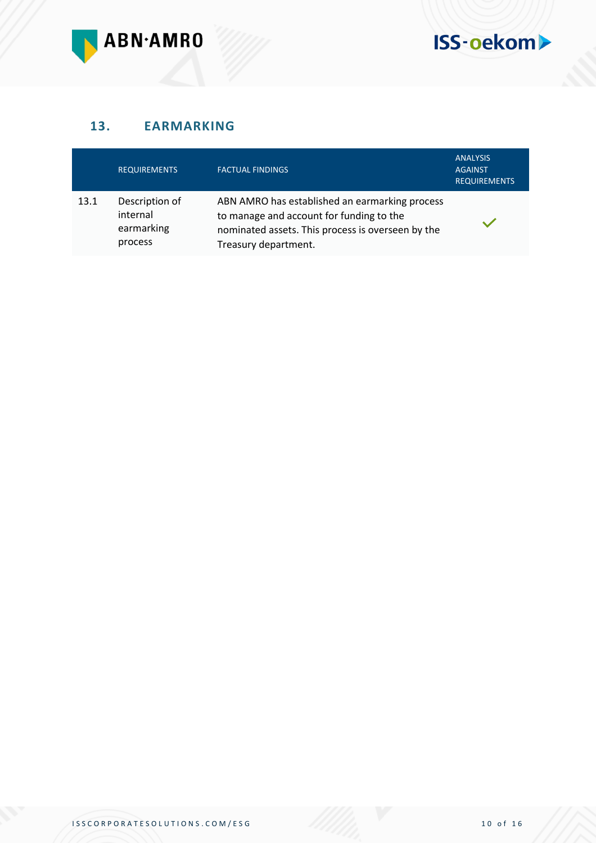

#### **13. EARMARKING**

|      | <b>REQUIREMENTS</b>                                 | <b>FACTUAL FINDINGS</b>                                                                                                                                                 | <b>ANALYSIS</b><br><b>AGAINST</b><br><b>REQUIREMENTS</b> |
|------|-----------------------------------------------------|-------------------------------------------------------------------------------------------------------------------------------------------------------------------------|----------------------------------------------------------|
| 13.1 | Description of<br>internal<br>earmarking<br>process | ABN AMRO has established an earmarking process<br>to manage and account for funding to the<br>nominated assets. This process is overseen by the<br>Treasury department. |                                                          |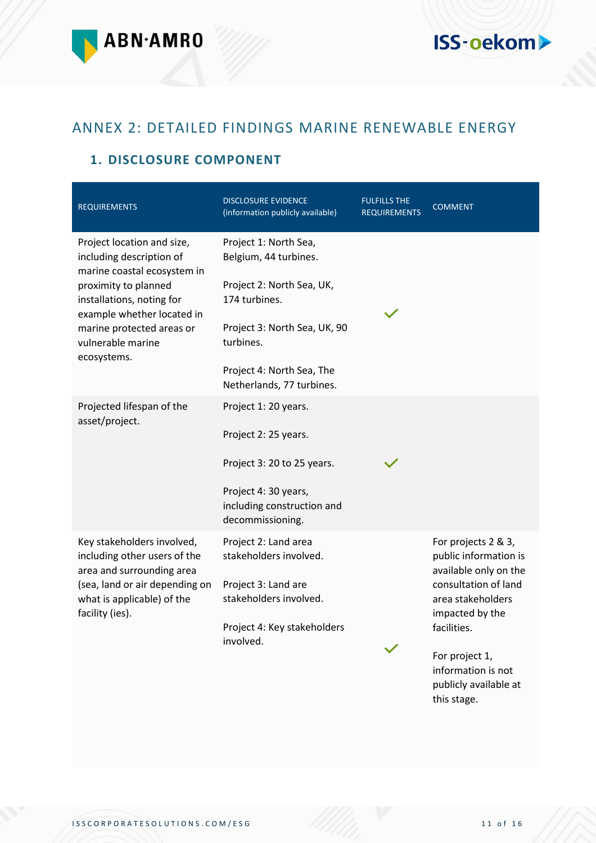

## ANNEX 2: DETAILED FINDINGS MARINE RENEWABLE ENERGY

#### **1. DISCLOSURE COMPONENT**

| <b>REQUIREMENTS</b>                                                                                                                                                                                                                       | <b>DISCLOSURE EVIDENCE</b><br>(information publicly available)                                                                                                                                      | <b>FULFILLS THE</b><br><b>REQUIREMENTS</b> | <b>COMMENT</b>                                                                                                                                                                                                        |
|-------------------------------------------------------------------------------------------------------------------------------------------------------------------------------------------------------------------------------------------|-----------------------------------------------------------------------------------------------------------------------------------------------------------------------------------------------------|--------------------------------------------|-----------------------------------------------------------------------------------------------------------------------------------------------------------------------------------------------------------------------|
| Project location and size,<br>including description of<br>marine coastal ecosystem in<br>proximity to planned<br>installations, noting for<br>example whether located in<br>marine protected areas or<br>vulnerable marine<br>ecosystems. | Project 1: North Sea,<br>Belgium, 44 turbines.<br>Project 2: North Sea, UK,<br>174 turbines.<br>Project 3: North Sea, UK, 90<br>turbines.<br>Project 4: North Sea, The<br>Netherlands, 77 turbines. |                                            |                                                                                                                                                                                                                       |
| Projected lifespan of the<br>asset/project.                                                                                                                                                                                               | Project 1: 20 years.<br>Project 2: 25 years.<br>Project 3: 20 to 25 years.<br>Project 4: 30 years,<br>including construction and<br>decommissioning.                                                |                                            |                                                                                                                                                                                                                       |
| Key stakeholders involved,<br>including other users of the<br>area and surrounding area<br>(sea, land or air depending on<br>what is applicable) of the<br>facility (ies).                                                                | Project 2: Land area<br>stakeholders involved.<br>Project 3: Land are<br>stakeholders involved.<br>Project 4: Key stakeholders<br>involved.                                                         |                                            | For projects 2 & 3,<br>public information is<br>available only on the<br>consultation of land<br>area stakeholders<br>impacted by the<br>facilities.<br>For project 1,<br>information is not<br>publicly available at |

this stage.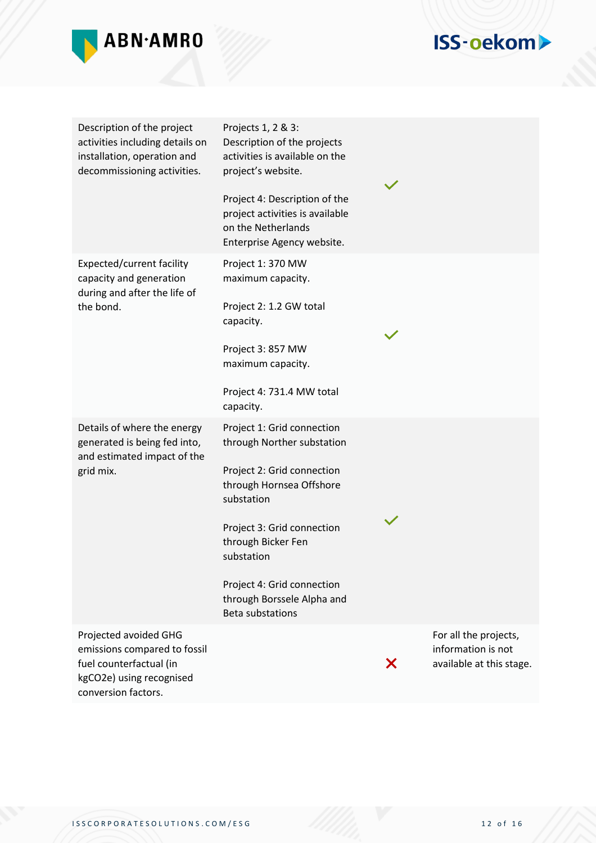

| Description of the project<br>activities including details on<br>installation, operation and<br>decommissioning activities.         | Projects 1, 2 & 3:<br>Description of the projects<br>activities is available on the<br>project's website.<br>Project 4: Description of the<br>project activities is available<br>on the Netherlands<br>Enterprise Agency website.                                                         |   |                                                                         |
|-------------------------------------------------------------------------------------------------------------------------------------|-------------------------------------------------------------------------------------------------------------------------------------------------------------------------------------------------------------------------------------------------------------------------------------------|---|-------------------------------------------------------------------------|
| Expected/current facility<br>capacity and generation<br>during and after the life of<br>the bond.                                   | Project 1: 370 MW<br>maximum capacity.<br>Project 2: 1.2 GW total<br>capacity.<br>Project 3: 857 MW<br>maximum capacity.<br>Project 4: 731.4 MW total<br>capacity.                                                                                                                        |   |                                                                         |
| Details of where the energy<br>generated is being fed into,<br>and estimated impact of the<br>grid mix.                             | Project 1: Grid connection<br>through Norther substation<br>Project 2: Grid connection<br>through Hornsea Offshore<br>substation<br>Project 3: Grid connection<br>through Bicker Fen<br>substation<br>Project 4: Grid connection<br>through Borssele Alpha and<br><b>Beta substations</b> |   |                                                                         |
| Projected avoided GHG<br>emissions compared to fossil<br>fuel counterfactual (in<br>kgCO2e) using recognised<br>conversion factors. |                                                                                                                                                                                                                                                                                           | Х | For all the projects,<br>information is not<br>available at this stage. |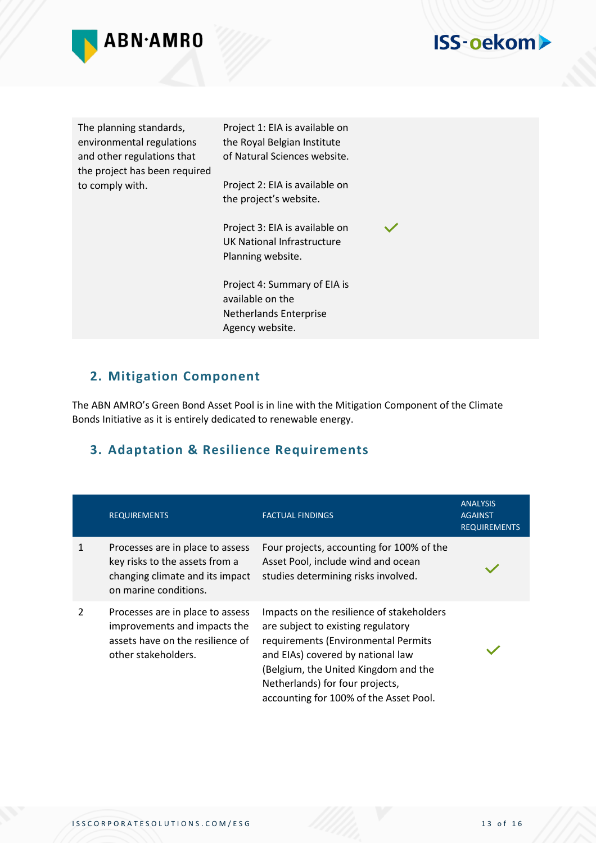

| The planning standards,<br>environmental regulations<br>and other regulations that<br>the project has been required<br>to comply with. | Project 1: EIA is available on<br>the Royal Belgian Institute<br>of Natural Sciences website.<br>Project 2: EIA is available on<br>the project's website. |  |
|----------------------------------------------------------------------------------------------------------------------------------------|-----------------------------------------------------------------------------------------------------------------------------------------------------------|--|
|                                                                                                                                        | Project 3: EIA is available on<br>UK National Infrastructure<br>Planning website.                                                                         |  |
|                                                                                                                                        | Project 4: Summary of EIA is<br>available on the<br><b>Netherlands Enterprise</b><br>Agency website.                                                      |  |

#### **2. Mitigation Component**

The ABN AMRO's Green Bond Asset Pool is in line with the Mitigation Component of the Climate Bonds Initiative as it is entirely dedicated to renewable energy.

#### **3. Adaptation & Resilience Requirements**

|   | <b>REQUIREMENTS</b>                                                                                                            | <b>FACTUAL FINDINGS</b>                                                                                                                                                                                                                                                          | <b>ANALYSIS</b><br><b>AGAINST</b><br><b>REQUIREMENTS</b> |
|---|--------------------------------------------------------------------------------------------------------------------------------|----------------------------------------------------------------------------------------------------------------------------------------------------------------------------------------------------------------------------------------------------------------------------------|----------------------------------------------------------|
|   | Processes are in place to assess<br>key risks to the assets from a<br>changing climate and its impact<br>on marine conditions. | Four projects, accounting for 100% of the<br>Asset Pool, include wind and ocean<br>studies determining risks involved.                                                                                                                                                           |                                                          |
| 2 | Processes are in place to assess<br>improvements and impacts the<br>assets have on the resilience of<br>other stakeholders.    | Impacts on the resilience of stakeholders<br>are subject to existing regulatory<br>requirements (Environmental Permits<br>and EIAs) covered by national law<br>(Belgium, the United Kingdom and the<br>Netherlands) for four projects,<br>accounting for 100% of the Asset Pool. |                                                          |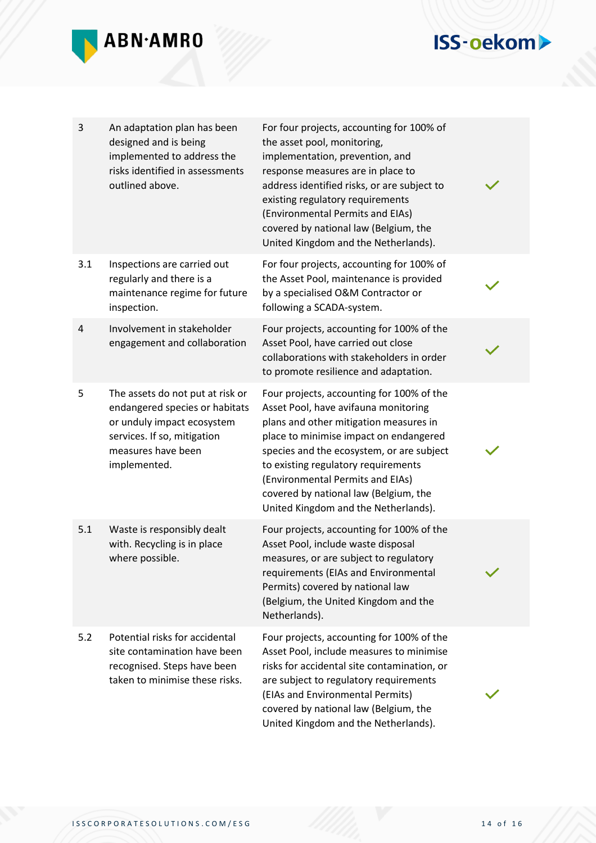

| 3   | An adaptation plan has been<br>designed and is being<br>implemented to address the<br>risks identified in assessments<br>outlined above.                              | For four projects, accounting for 100% of<br>the asset pool, monitoring,<br>implementation, prevention, and<br>response measures are in place to<br>address identified risks, or are subject to<br>existing regulatory requirements<br>(Environmental Permits and EIAs)<br>covered by national law (Belgium, the<br>United Kingdom and the Netherlands).                       |  |
|-----|-----------------------------------------------------------------------------------------------------------------------------------------------------------------------|--------------------------------------------------------------------------------------------------------------------------------------------------------------------------------------------------------------------------------------------------------------------------------------------------------------------------------------------------------------------------------|--|
| 3.1 | Inspections are carried out<br>regularly and there is a<br>maintenance regime for future<br>inspection.                                                               | For four projects, accounting for 100% of<br>the Asset Pool, maintenance is provided<br>by a specialised O&M Contractor or<br>following a SCADA-system.                                                                                                                                                                                                                        |  |
| 4   | Involvement in stakeholder<br>engagement and collaboration                                                                                                            | Four projects, accounting for 100% of the<br>Asset Pool, have carried out close<br>collaborations with stakeholders in order<br>to promote resilience and adaptation.                                                                                                                                                                                                          |  |
| 5   | The assets do not put at risk or<br>endangered species or habitats<br>or unduly impact ecosystem<br>services. If so, mitigation<br>measures have been<br>implemented. | Four projects, accounting for 100% of the<br>Asset Pool, have avifauna monitoring<br>plans and other mitigation measures in<br>place to minimise impact on endangered<br>species and the ecosystem, or are subject<br>to existing regulatory requirements<br>(Environmental Permits and EIAs)<br>covered by national law (Belgium, the<br>United Kingdom and the Netherlands). |  |
| 5.1 | Waste is responsibly dealt<br>with. Recycling is in place<br>where possible.                                                                                          | Four projects, accounting for 100% of the<br>Asset Pool, include waste disposal<br>measures, or are subject to regulatory<br>requirements (EIAs and Environmental<br>Permits) covered by national law<br>(Belgium, the United Kingdom and the<br>Netherlands).                                                                                                                 |  |
| 5.2 | Potential risks for accidental<br>site contamination have been<br>recognised. Steps have been<br>taken to minimise these risks.                                       | Four projects, accounting for 100% of the<br>Asset Pool, include measures to minimise<br>risks for accidental site contamination, or<br>are subject to regulatory requirements<br>(EIAs and Environmental Permits)<br>covered by national law (Belgium, the<br>United Kingdom and the Netherlands).                                                                            |  |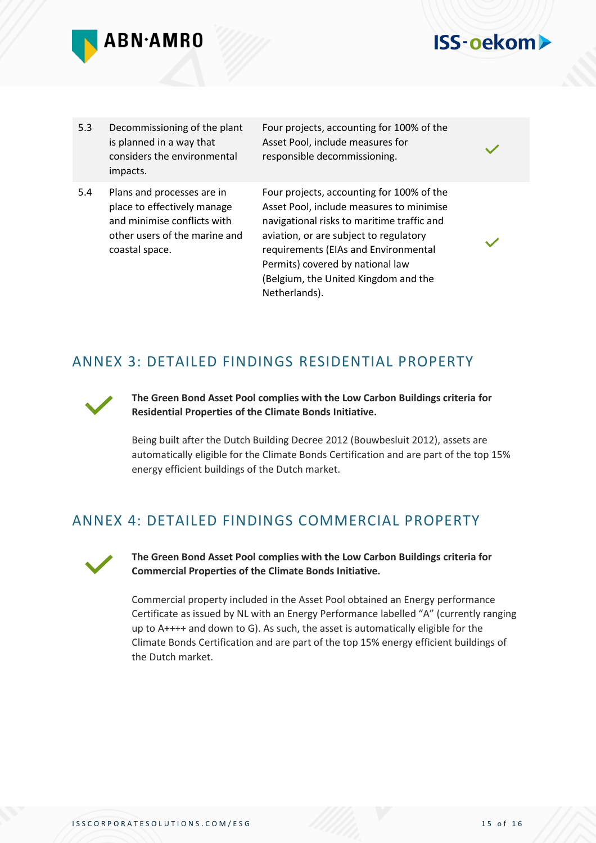

#### 5.3 Decommissioning of the plant is planned in a way that considers the environmental impacts.

5.4 Plans and processes are in place to effectively manage and minimise conflicts with other users of the marine and coastal space.

Four projects, accounting for 100% of the Asset Pool, include measures for responsible decommissioning.

**ISS-oekom>** 

Four projects, accounting for 100% of the Asset Pool, include measures to minimise navigational risks to maritime traffic and aviation, or are subject to regulatory requirements (EIAs and Environmental Permits) covered by national law (Belgium, the United Kingdom and the Netherlands).

### ANNEX 3: DETAILED FINDINGS RESIDENTIAL PROPERTY



**The Green Bond Asset Pool complies with the Low Carbon Buildings criteria for Residential Properties of the Climate Bonds Initiative.**

Being built after the Dutch Building Decree 2012 (Bouwbesluit 2012), assets are automatically eligible for the Climate Bonds Certification and are part of the top 15% energy efficient buildings of the Dutch market.

### ANNEX 4: DETAILED FINDINGS COMMERCIAL PROPERTY



**The Green Bond Asset Pool complies with the Low Carbon Buildings criteria for Commercial Properties of the Climate Bonds Initiative.**

Commercial property included in the Asset Pool obtained an Energy performance Certificate as issued by NL with an Energy Performance labelled "A" (currently ranging up to A++++ and down to G). As such, the asset is automatically eligible for the Climate Bonds Certification and are part of the top 15% energy efficient buildings of the Dutch market.